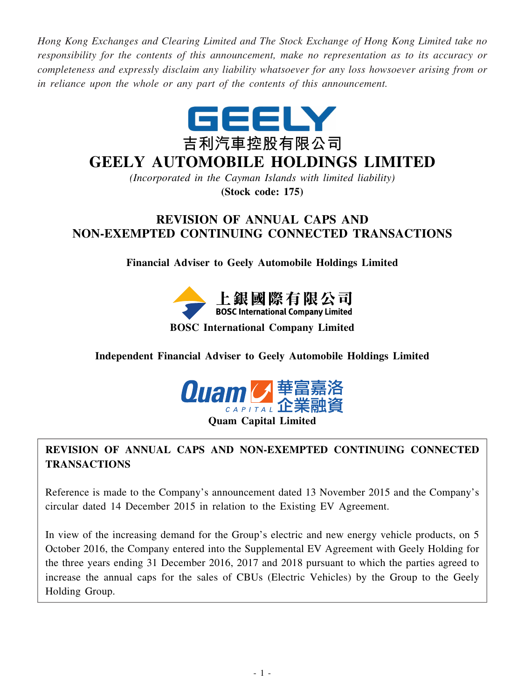*Hong Kong Exchanges and Clearing Limited and The Stock Exchange of Hong Kong Limited take no responsibility for the contents of this announcement, make no representation as to its accuracy or completeness and expressly disclaim any liability whatsoever for any loss howsoever arising from or in reliance upon the whole or any part of the contents of this announcement.*



# **GEELY AUTOMOBILE HOLDINGS LIMITED**

*(Incorporated in the Cayman Islands with limited liability)* **(Stock code: 175)**

## **REVISION OF ANNUAL CAPS AND NON-EXEMPTED CONTINUING CONNECTED TRANSACTIONS**

## **Financial Adviser to Geely Automobile Holdings Limited**



## **Independent Financial Adviser to Geely Automobile Holdings Limited**



## **REVISION OF ANNUAL CAPS AND NON-EXEMPTED CONTINUING CONNECTED TRANSACTIONS**

Reference is made to the Company's announcement dated 13 November 2015 and the Company's circular dated 14 December 2015 in relation to the Existing EV Agreement.

In view of the increasing demand for the Group's electric and new energy vehicle products, on 5 October 2016, the Company entered into the Supplemental EV Agreement with Geely Holding for the three years ending 31 December 2016, 2017 and 2018 pursuant to which the parties agreed to increase the annual caps for the sales of CBUs (Electric Vehicles) by the Group to the Geely Holding Group.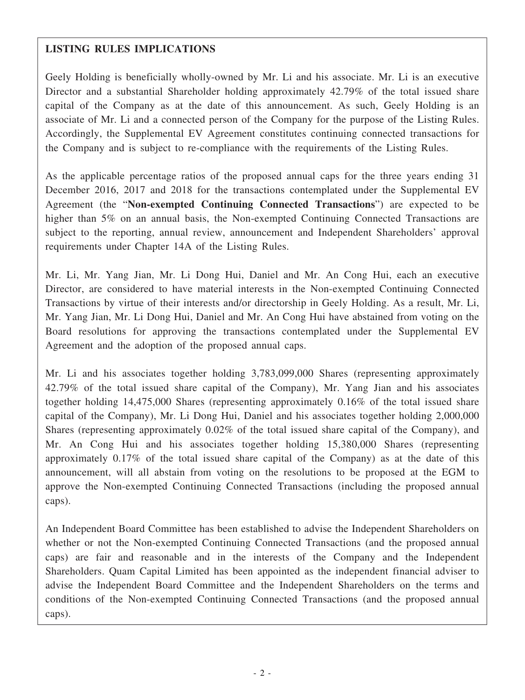## **LISTING RULES IMPLICATIONS**

Geely Holding is beneficially wholly-owned by Mr. Li and his associate. Mr. Li is an executive Director and a substantial Shareholder holding approximately 42.79% of the total issued share capital of the Company as at the date of this announcement. As such, Geely Holding is an associate of Mr. Li and a connected person of the Company for the purpose of the Listing Rules. Accordingly, the Supplemental EV Agreement constitutes continuing connected transactions for the Company and is subject to re-compliance with the requirements of the Listing Rules.

As the applicable percentage ratios of the proposed annual caps for the three years ending 31 December 2016, 2017 and 2018 for the transactions contemplated under the Supplemental EV Agreement (the "**Non-exempted Continuing Connected Transactions**") are expected to be higher than 5% on an annual basis, the Non-exempted Continuing Connected Transactions are subject to the reporting, annual review, announcement and Independent Shareholders' approval requirements under Chapter 14A of the Listing Rules.

Mr. Li, Mr. Yang Jian, Mr. Li Dong Hui, Daniel and Mr. An Cong Hui, each an executive Director, are considered to have material interests in the Non-exempted Continuing Connected Transactions by virtue of their interests and/or directorship in Geely Holding. As a result, Mr. Li, Mr. Yang Jian, Mr. Li Dong Hui, Daniel and Mr. An Cong Hui have abstained from voting on the Board resolutions for approving the transactions contemplated under the Supplemental EV Agreement and the adoption of the proposed annual caps.

Mr. Li and his associates together holding 3,783,099,000 Shares (representing approximately 42.79% of the total issued share capital of the Company), Mr. Yang Jian and his associates together holding 14,475,000 Shares (representing approximately 0.16% of the total issued share capital of the Company), Mr. Li Dong Hui, Daniel and his associates together holding 2,000,000 Shares (representing approximately 0.02% of the total issued share capital of the Company), and Mr. An Cong Hui and his associates together holding 15,380,000 Shares (representing approximately 0.17% of the total issued share capital of the Company) as at the date of this announcement, will all abstain from voting on the resolutions to be proposed at the EGM to approve the Non-exempted Continuing Connected Transactions (including the proposed annual caps).

An Independent Board Committee has been established to advise the Independent Shareholders on whether or not the Non-exempted Continuing Connected Transactions (and the proposed annual caps) are fair and reasonable and in the interests of the Company and the Independent Shareholders. Quam Capital Limited has been appointed as the independent financial adviser to advise the Independent Board Committee and the Independent Shareholders on the terms and conditions of the Non-exempted Continuing Connected Transactions (and the proposed annual caps).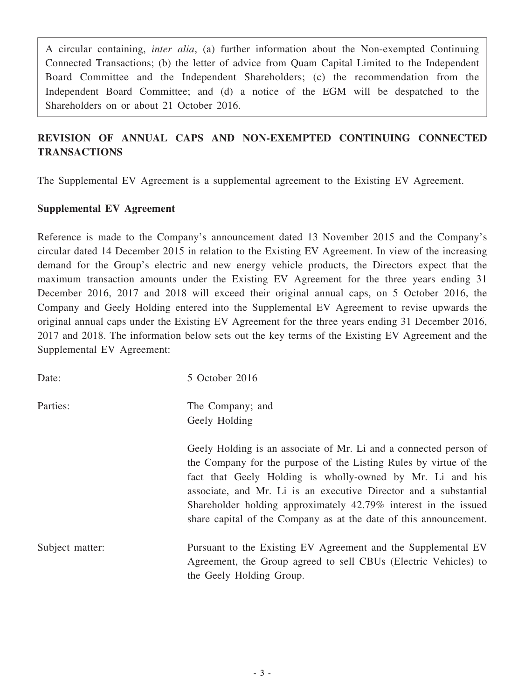A circular containing, *inter alia*, (a) further information about the Non-exempted Continuing Connected Transactions; (b) the letter of advice from Quam Capital Limited to the Independent Board Committee and the Independent Shareholders; (c) the recommendation from the Independent Board Committee; and (d) a notice of the EGM will be despatched to the Shareholders on or about 21 October 2016.

## **REVISION OF ANNUAL CAPS AND NON-EXEMPTED CONTINUING CONNECTED TRANSACTIONS**

The Supplemental EV Agreement is a supplemental agreement to the Existing EV Agreement.

#### **Supplemental EV Agreement**

Reference is made to the Company's announcement dated 13 November 2015 and the Company's circular dated 14 December 2015 in relation to the Existing EV Agreement. In view of the increasing demand for the Group's electric and new energy vehicle products, the Directors expect that the maximum transaction amounts under the Existing EV Agreement for the three years ending 31 December 2016, 2017 and 2018 will exceed their original annual caps, on 5 October 2016, the Company and Geely Holding entered into the Supplemental EV Agreement to revise upwards the original annual caps under the Existing EV Agreement for the three years ending 31 December 2016, 2017 and 2018. The information below sets out the key terms of the Existing EV Agreement and the Supplemental EV Agreement:

| Date:           | 5 October 2016                                                                                                                                                                                                                                                                                                                                                                                                  |
|-----------------|-----------------------------------------------------------------------------------------------------------------------------------------------------------------------------------------------------------------------------------------------------------------------------------------------------------------------------------------------------------------------------------------------------------------|
| Parties:        | The Company; and<br>Geely Holding                                                                                                                                                                                                                                                                                                                                                                               |
|                 | Geely Holding is an associate of Mr. Li and a connected person of<br>the Company for the purpose of the Listing Rules by virtue of the<br>fact that Geely Holding is wholly-owned by Mr. Li and his<br>associate, and Mr. Li is an executive Director and a substantial<br>Shareholder holding approximately 42.79% interest in the issued<br>share capital of the Company as at the date of this announcement. |
| Subject matter: | Pursuant to the Existing EV Agreement and the Supplemental EV<br>Agreement, the Group agreed to sell CBUs (Electric Vehicles) to<br>the Geely Holding Group.                                                                                                                                                                                                                                                    |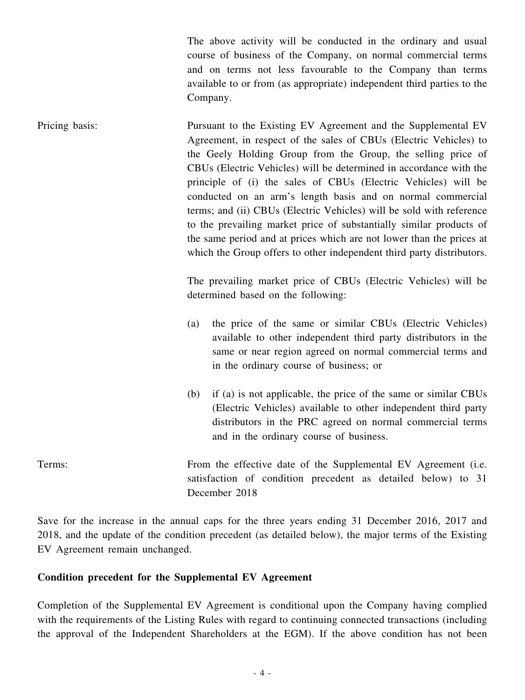The above activity will be conducted in the ordinary and usual course of business of the Company, on normal commercial terms and on terms not less favourable to the Company than terms available to or from (as appropriate) independent third parties to the Company.

Pricing basis: Pursuant to the Existing EV Agreement and the Supplemental EV Agreement, in respect of the sales of CBUs (Electric Vehicles) to the Geely Holding Group from the Group, the selling price of CBUs (Electric Vehicles) will be determined in accordance with the principle of (i) the sales of CBUs (Electric Vehicles) will be conducted on an arm's length basis and on normal commercial terms; and (ii) CBUs (Electric Vehicles) will be sold with reference to the prevailing market price of substantially similar products of the same period and at prices which are not lower than the prices at which the Group offers to other independent third party distributors.

> The prevailing market price of CBUs (Electric Vehicles) will be determined based on the following:

- (a) the price of the same or similar CBUs (Electric Vehicles) available to other independent third party distributors in the same or near region agreed on normal commercial terms and in the ordinary course of business; or
- (b) if (a) is not applicable, the price of the same or similar CBUs (Electric Vehicles) available to other independent third party distributors in the PRC agreed on normal commercial terms and in the ordinary course of business.

Terms: From the effective date of the Supplemental EV Agreement (i.e. satisfaction of condition precedent as detailed below) to 31 December 2018

Save for the increase in the annual caps for the three years ending 31 December 2016, 2017 and 2018, and the update of the condition precedent (as detailed below), the major terms of the Existing EV Agreement remain unchanged.

### **Condition precedent for the Supplemental EV Agreement**

Completion of the Supplemental EV Agreement is conditional upon the Company having complied with the requirements of the Listing Rules with regard to continuing connected transactions (including the approval of the Independent Shareholders at the EGM). If the above condition has not been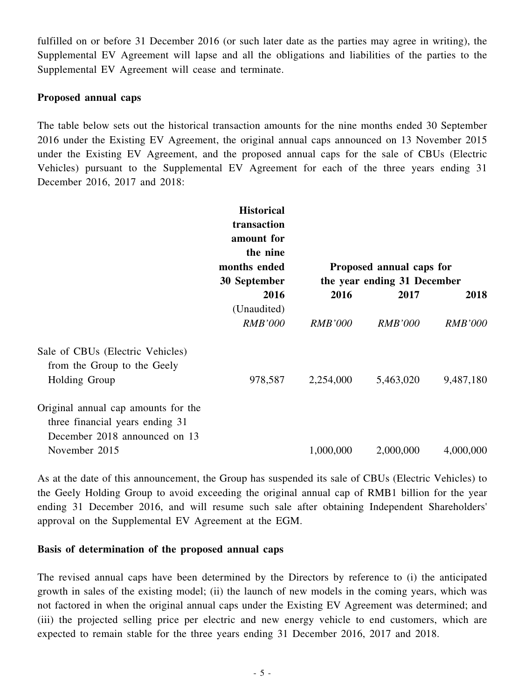fulfilled on or before 31 December 2016 (or such later date as the parties may agree in writing), the Supplemental EV Agreement will lapse and all the obligations and liabilities of the parties to the Supplemental EV Agreement will cease and terminate.

#### **Proposed annual caps**

The table below sets out the historical transaction amounts for the nine months ended 30 September 2016 under the Existing EV Agreement, the original annual caps announced on 13 November 2015 under the Existing EV Agreement, and the proposed annual caps for the sale of CBUs (Electric Vehicles) pursuant to the Supplemental EV Agreement for each of the three years ending 31 December 2016, 2017 and 2018:

|                                                                                                         | <b>Historical</b><br>transaction<br>amount for<br>the nine<br>months ended<br>30 September<br>2016<br>(Unaudited)<br><i>RMB'000</i> | Proposed annual caps for<br>the year ending 31 December |                |                |
|---------------------------------------------------------------------------------------------------------|-------------------------------------------------------------------------------------------------------------------------------------|---------------------------------------------------------|----------------|----------------|
|                                                                                                         |                                                                                                                                     | 2016                                                    | 2017           | 2018           |
|                                                                                                         |                                                                                                                                     | <b>RMB'000</b>                                          | <i>RMB'000</i> | <b>RMB'000</b> |
| Sale of CBUs (Electric Vehicles)<br>from the Group to the Geely<br>Holding Group                        | 978,587                                                                                                                             | 2,254,000                                               | 5,463,020      | 9,487,180      |
| Original annual cap amounts for the<br>three financial years ending 31<br>December 2018 announced on 13 |                                                                                                                                     |                                                         |                |                |
| November 2015                                                                                           |                                                                                                                                     | 1,000,000                                               | 2,000,000      | 4,000,000      |

As at the date of this announcement, the Group has suspended its sale of CBUs (Electric Vehicles) to the Geely Holding Group to avoid exceeding the original annual cap of RMB1 billion for the year ending 31 December 2016, and will resume such sale after obtaining Independent Shareholders' approval on the Supplemental EV Agreement at the EGM.

#### **Basis of determination of the proposed annual caps**

The revised annual caps have been determined by the Directors by reference to (i) the anticipated growth in sales of the existing model; (ii) the launch of new models in the coming years, which was not factored in when the original annual caps under the Existing EV Agreement was determined; and (iii) the projected selling price per electric and new energy vehicle to end customers, which are expected to remain stable for the three years ending 31 December 2016, 2017 and 2018.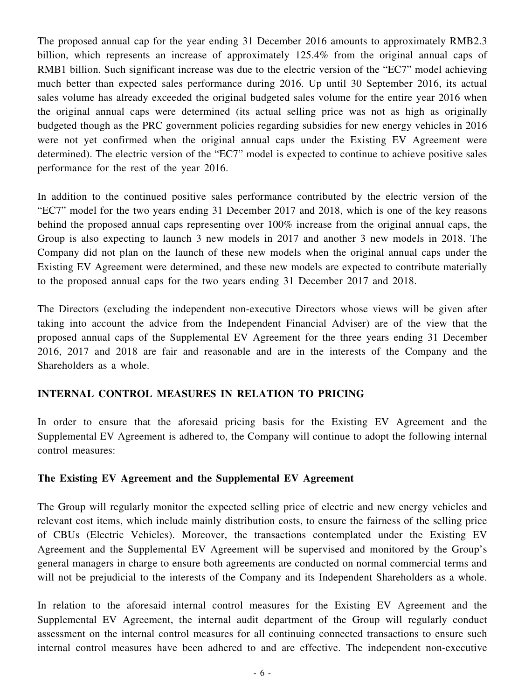The proposed annual cap for the year ending 31 December 2016 amounts to approximately RMB2.3 billion, which represents an increase of approximately 125.4% from the original annual caps of RMB1 billion. Such significant increase was due to the electric version of the "EC7" model achieving much better than expected sales performance during 2016. Up until 30 September 2016, its actual sales volume has already exceeded the original budgeted sales volume for the entire year 2016 when the original annual caps were determined (its actual selling price was not as high as originally budgeted though as the PRC government policies regarding subsidies for new energy vehicles in 2016 were not yet confirmed when the original annual caps under the Existing EV Agreement were determined). The electric version of the "EC7" model is expected to continue to achieve positive sales performance for the rest of the year 2016.

In addition to the continued positive sales performance contributed by the electric version of the "EC7" model for the two years ending 31 December 2017 and 2018, which is one of the key reasons behind the proposed annual caps representing over 100% increase from the original annual caps, the Group is also expecting to launch 3 new models in 2017 and another 3 new models in 2018. The Company did not plan on the launch of these new models when the original annual caps under the Existing EV Agreement were determined, and these new models are expected to contribute materially to the proposed annual caps for the two years ending 31 December 2017 and 2018.

The Directors (excluding the independent non-executive Directors whose views will be given after taking into account the advice from the Independent Financial Adviser) are of the view that the proposed annual caps of the Supplemental EV Agreement for the three years ending 31 December 2016, 2017 and 2018 are fair and reasonable and are in the interests of the Company and the Shareholders as a whole.

#### **INTERNAL CONTROL MEASURES IN RELATION TO PRICING**

In order to ensure that the aforesaid pricing basis for the Existing EV Agreement and the Supplemental EV Agreement is adhered to, the Company will continue to adopt the following internal control measures:

#### **The Existing EV Agreement and the Supplemental EV Agreement**

The Group will regularly monitor the expected selling price of electric and new energy vehicles and relevant cost items, which include mainly distribution costs, to ensure the fairness of the selling price of CBUs (Electric Vehicles). Moreover, the transactions contemplated under the Existing EV Agreement and the Supplemental EV Agreement will be supervised and monitored by the Group's general managers in charge to ensure both agreements are conducted on normal commercial terms and will not be prejudicial to the interests of the Company and its Independent Shareholders as a whole.

In relation to the aforesaid internal control measures for the Existing EV Agreement and the Supplemental EV Agreement, the internal audit department of the Group will regularly conduct assessment on the internal control measures for all continuing connected transactions to ensure such internal control measures have been adhered to and are effective. The independent non-executive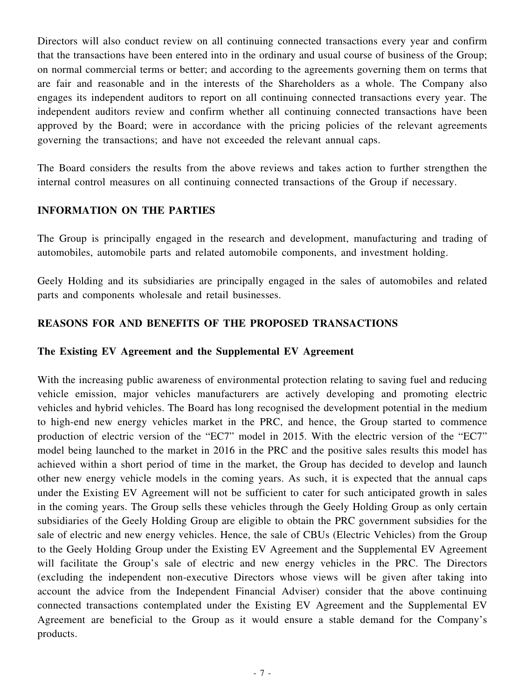Directors will also conduct review on all continuing connected transactions every year and confirm that the transactions have been entered into in the ordinary and usual course of business of the Group; on normal commercial terms or better; and according to the agreements governing them on terms that are fair and reasonable and in the interests of the Shareholders as a whole. The Company also engages its independent auditors to report on all continuing connected transactions every year. The independent auditors review and confirm whether all continuing connected transactions have been approved by the Board; were in accordance with the pricing policies of the relevant agreements governing the transactions; and have not exceeded the relevant annual caps.

The Board considers the results from the above reviews and takes action to further strengthen the internal control measures on all continuing connected transactions of the Group if necessary.

### **INFORMATION ON THE PARTIES**

The Group is principally engaged in the research and development, manufacturing and trading of automobiles, automobile parts and related automobile components, and investment holding.

Geely Holding and its subsidiaries are principally engaged in the sales of automobiles and related parts and components wholesale and retail businesses.

## **REASONS FOR AND BENEFITS OF THE PROPOSED TRANSACTIONS**

### **The Existing EV Agreement and the Supplemental EV Agreement**

With the increasing public awareness of environmental protection relating to saving fuel and reducing vehicle emission, major vehicles manufacturers are actively developing and promoting electric vehicles and hybrid vehicles. The Board has long recognised the development potential in the medium to high-end new energy vehicles market in the PRC, and hence, the Group started to commence production of electric version of the "EC7" model in 2015. With the electric version of the "EC7" model being launched to the market in 2016 in the PRC and the positive sales results this model has achieved within a short period of time in the market, the Group has decided to develop and launch other new energy vehicle models in the coming years. As such, it is expected that the annual caps under the Existing EV Agreement will not be sufficient to cater for such anticipated growth in sales in the coming years. The Group sells these vehicles through the Geely Holding Group as only certain subsidiaries of the Geely Holding Group are eligible to obtain the PRC government subsidies for the sale of electric and new energy vehicles. Hence, the sale of CBUs (Electric Vehicles) from the Group to the Geely Holding Group under the Existing EV Agreement and the Supplemental EV Agreement will facilitate the Group's sale of electric and new energy vehicles in the PRC. The Directors (excluding the independent non-executive Directors whose views will be given after taking into account the advice from the Independent Financial Adviser) consider that the above continuing connected transactions contemplated under the Existing EV Agreement and the Supplemental EV Agreement are beneficial to the Group as it would ensure a stable demand for the Company's products.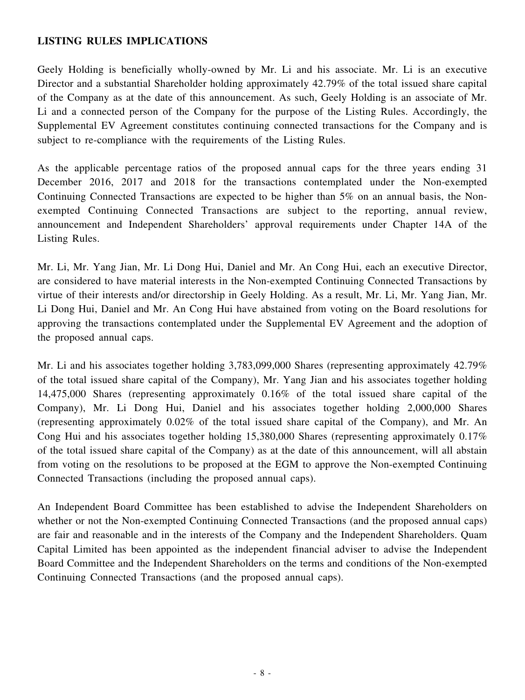## **LISTING RULES IMPLICATIONS**

Geely Holding is beneficially wholly-owned by Mr. Li and his associate. Mr. Li is an executive Director and a substantial Shareholder holding approximately 42.79% of the total issued share capital of the Company as at the date of this announcement. As such, Geely Holding is an associate of Mr. Li and a connected person of the Company for the purpose of the Listing Rules. Accordingly, the Supplemental EV Agreement constitutes continuing connected transactions for the Company and is subject to re-compliance with the requirements of the Listing Rules.

As the applicable percentage ratios of the proposed annual caps for the three years ending 31 December 2016, 2017 and 2018 for the transactions contemplated under the Non-exempted Continuing Connected Transactions are expected to be higher than 5% on an annual basis, the Nonexempted Continuing Connected Transactions are subject to the reporting, annual review, announcement and Independent Shareholders' approval requirements under Chapter 14A of the Listing Rules.

Mr. Li, Mr. Yang Jian, Mr. Li Dong Hui, Daniel and Mr. An Cong Hui, each an executive Director, are considered to have material interests in the Non-exempted Continuing Connected Transactions by virtue of their interests and/or directorship in Geely Holding. As a result, Mr. Li, Mr. Yang Jian, Mr. Li Dong Hui, Daniel and Mr. An Cong Hui have abstained from voting on the Board resolutions for approving the transactions contemplated under the Supplemental EV Agreement and the adoption of the proposed annual caps.

Mr. Li and his associates together holding 3,783,099,000 Shares (representing approximately 42.79%) of the total issued share capital of the Company), Mr. Yang Jian and his associates together holding 14,475,000 Shares (representing approximately 0.16% of the total issued share capital of the Company), Mr. Li Dong Hui, Daniel and his associates together holding 2,000,000 Shares (representing approximately 0.02% of the total issued share capital of the Company), and Mr. An Cong Hui and his associates together holding 15,380,000 Shares (representing approximately 0.17% of the total issued share capital of the Company) as at the date of this announcement, will all abstain from voting on the resolutions to be proposed at the EGM to approve the Non-exempted Continuing Connected Transactions (including the proposed annual caps).

An Independent Board Committee has been established to advise the Independent Shareholders on whether or not the Non-exempted Continuing Connected Transactions (and the proposed annual caps) are fair and reasonable and in the interests of the Company and the Independent Shareholders. Quam Capital Limited has been appointed as the independent financial adviser to advise the Independent Board Committee and the Independent Shareholders on the terms and conditions of the Non-exempted Continuing Connected Transactions (and the proposed annual caps).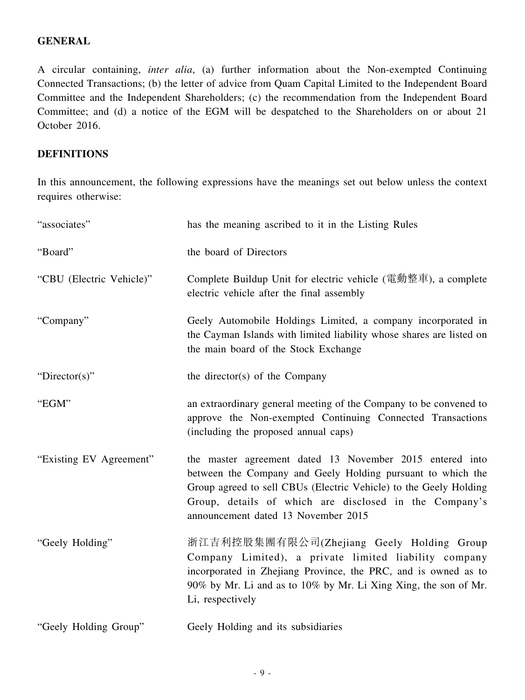### **GENERAL**

A circular containing, *inter alia*, (a) further information about the Non-exempted Continuing Connected Transactions; (b) the letter of advice from Quam Capital Limited to the Independent Board Committee and the Independent Shareholders; (c) the recommendation from the Independent Board Committee; and (d) a notice of the EGM will be despatched to the Shareholders on or about 21 October 2016.

### **DEFINITIONS**

In this announcement, the following expressions have the meanings set out below unless the context requires otherwise:

| "associates"             | has the meaning ascribed to it in the Listing Rules                                                                                                                                                                                                                                           |
|--------------------------|-----------------------------------------------------------------------------------------------------------------------------------------------------------------------------------------------------------------------------------------------------------------------------------------------|
| "Board"                  | the board of Directors                                                                                                                                                                                                                                                                        |
| "CBU (Electric Vehicle)" | Complete Buildup Unit for electric vehicle (電動整車), a complete<br>electric vehicle after the final assembly                                                                                                                                                                                    |
| "Company"                | Geely Automobile Holdings Limited, a company incorporated in<br>the Cayman Islands with limited liability whose shares are listed on<br>the main board of the Stock Exchange                                                                                                                  |
| "Director(s)"            | the director(s) of the Company                                                                                                                                                                                                                                                                |
| "EGM"                    | an extraordinary general meeting of the Company to be convened to<br>approve the Non-exempted Continuing Connected Transactions<br>(including the proposed annual caps)                                                                                                                       |
| "Existing EV Agreement"  | the master agreement dated 13 November 2015 entered into<br>between the Company and Geely Holding pursuant to which the<br>Group agreed to sell CBUs (Electric Vehicle) to the Geely Holding<br>Group, details of which are disclosed in the Company's<br>announcement dated 13 November 2015 |
| "Geely Holding"          | 浙江吉利控股集團有限公司(Zhejiang Geely Holding Group<br>Company Limited), a private limited liability company<br>incorporated in Zhejiang Province, the PRC, and is owned as to<br>90% by Mr. Li and as to 10% by Mr. Li Xing Xing, the son of Mr.<br>Li, respectively                                   |
| "Geely Holding Group"    | Geely Holding and its subsidiaries                                                                                                                                                                                                                                                            |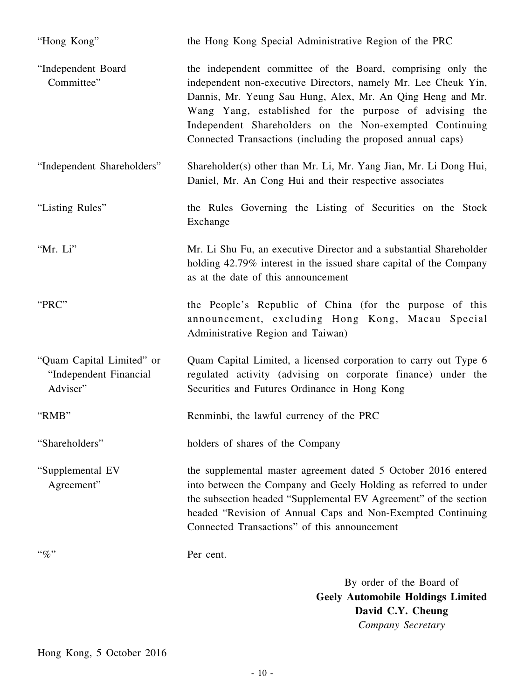| "Hong Kong"                                                     | the Hong Kong Special Administrative Region of the PRC                                                                                                                                                                                                                                                                                                                          |
|-----------------------------------------------------------------|---------------------------------------------------------------------------------------------------------------------------------------------------------------------------------------------------------------------------------------------------------------------------------------------------------------------------------------------------------------------------------|
| "Independent Board<br>Committee"                                | the independent committee of the Board, comprising only the<br>independent non-executive Directors, namely Mr. Lee Cheuk Yin,<br>Dannis, Mr. Yeung Sau Hung, Alex, Mr. An Qing Heng and Mr.<br>Wang Yang, established for the purpose of advising the<br>Independent Shareholders on the Non-exempted Continuing<br>Connected Transactions (including the proposed annual caps) |
| "Independent Shareholders"                                      | Shareholder(s) other than Mr. Li, Mr. Yang Jian, Mr. Li Dong Hui,<br>Daniel, Mr. An Cong Hui and their respective associates                                                                                                                                                                                                                                                    |
| "Listing Rules"                                                 | the Rules Governing the Listing of Securities on the Stock<br>Exchange                                                                                                                                                                                                                                                                                                          |
| "Mr. Li"                                                        | Mr. Li Shu Fu, an executive Director and a substantial Shareholder<br>holding 42.79% interest in the issued share capital of the Company<br>as at the date of this announcement                                                                                                                                                                                                 |
| "PRC"                                                           | the People's Republic of China (for the purpose of this<br>announcement, excluding Hong Kong, Macau Special<br>Administrative Region and Taiwan)                                                                                                                                                                                                                                |
| "Quam Capital Limited" or<br>"Independent Financial<br>Adviser" | Quam Capital Limited, a licensed corporation to carry out Type 6<br>regulated activity (advising on corporate finance) under the<br>Securities and Futures Ordinance in Hong Kong                                                                                                                                                                                               |
| "RMB"                                                           | Renminbi, the lawful currency of the PRC                                                                                                                                                                                                                                                                                                                                        |
| "Shareholders"                                                  | holders of shares of the Company                                                                                                                                                                                                                                                                                                                                                |
| "Supplemental EV<br>Agreement"                                  | the supplemental master agreement dated 5 October 2016 entered<br>into between the Company and Geely Holding as referred to under<br>the subsection headed "Supplemental EV Agreement" of the section<br>headed "Revision of Annual Caps and Non-Exempted Continuing<br>Connected Transactions" of this announcement                                                            |
| $``\%"$                                                         | Per cent.                                                                                                                                                                                                                                                                                                                                                                       |
|                                                                 | By order of the Board of<br><b>Geely Automobile Holdings Limited</b><br>David C.Y. Cheung                                                                                                                                                                                                                                                                                       |

*Company Secretary*